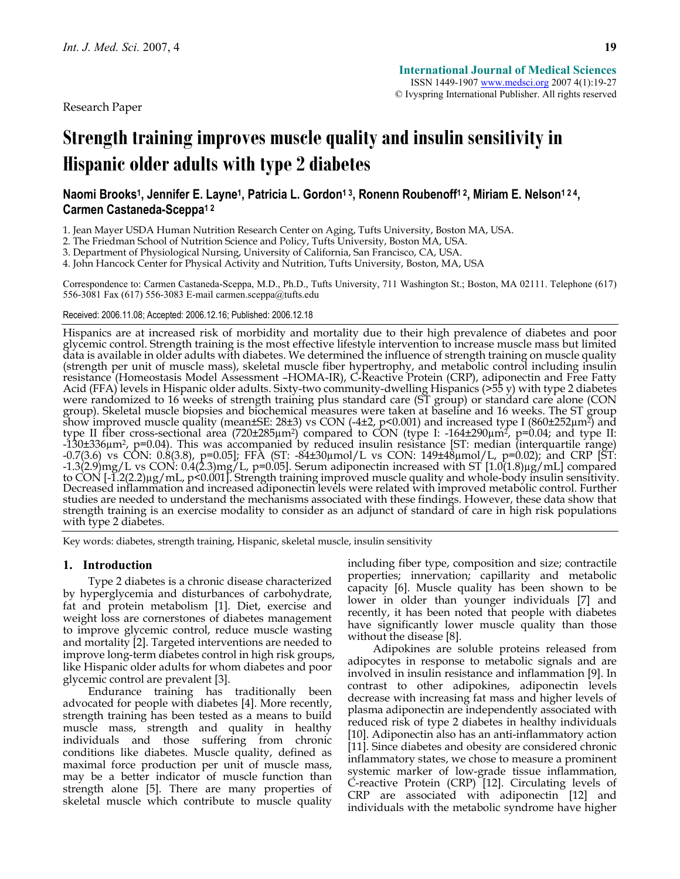Research Paper

# **Strength training improves muscle quality and insulin sensitivity in Hispanic older adults with type 2 diabetes**

# Naomi Brooks<sup>1</sup>, Jennifer E. Layne<sup>1</sup>, Patricia L. Gordon<sup>13</sup>, Ronenn Roubenoff<sup>12</sup>, Miriam E. Nelson<sup>124</sup>, **Carmen Castaneda-Sceppa1 2**

1. Jean Mayer USDA Human Nutrition Research Center on Aging, Tufts University, Boston MA, USA.

2. The Friedman School of Nutrition Science and Policy, Tufts University, Boston MA, USA.

3. Department of Physiological Nursing, University of California, San Francisco, CA, USA.

4. John Hancock Center for Physical Activity and Nutrition, Tufts University, Boston, MA, USA

Correspondence to: Carmen Castaneda-Sceppa, M.D., Ph.D., Tufts University, 711 Washington St.; Boston, MA 02111. Telephone (617) 556-3081 Fax (617) 556-3083 E-mail carmen.sceppa@tufts.edu

#### Received: 2006.11.08; Accepted: 2006.12.16; Published: 2006.12.18

Hispanics are at increased risk of morbidity and mortality due to their high prevalence of diabetes and poor glycemic control. Strength training is the most effective lifestyle intervention to increase muscle mass but limited data is available in older adults with diabetes. We determined the influence of strength training on muscle quality (strength per unit of muscle mass), skeletal muscle fiber hypertrophy, and metabolic control including insulin resistance (Homeostasis Model Assessment –HOMA-IR), C-Reactive Protein (CRP), adiponectin and Free Fatty Acid (FFA) levels in Hispanic older adults. Sixty-two community-dwelling Hispanics (>55 y) with type 2 diabetes were randomized to 16 weeks of strength training plus standard care (ST group) or standard care alone (CON group). Skeletal muscle biopsies and biochemical measures were taken at baseline and 16 weeks. The ST group show improved muscle quality (mean±SE: 28±3) vs CON (-4±2, p<0.001) and increased type I (860±252µm2) and type II fiber cross-sectional area (720±285µm2) compared to CON (type I: -164±290µm2, p=0.04; and type II: -130±336µm2, p=0.04). This was accompanied by reduced insulin resistance [ST: median (interquartile range) -0.7(3.6) vs CON: 0.8(3.8), p=0.05]; FFA (ST: -84±30µmol/L vs CON: 149±48µmol/L, p=0.02); and CRP [ST: -1.3(2.9)mg/L vs CON: 0.4(2.3)mg/L, p=0.05]. Serum adiponectin increased with ST [1.0(1.8)µg/mL] compared to CON [-1.2(2.2)µg/mL, p<0.001]. Strength training improved muscle quality and whole-body insulin sensitivity. Decreased inflammation and increased adiponectin levels were related with improved metabolic control. Further studies are needed to understand the mechanisms associated with these findings. However, these data show that<br>strength training is an exercise modality to consider as an adjunct of standard of care in high risk populations with type 2 diabetes.

Key words: diabetes, strength training, Hispanic, skeletal muscle, insulin sensitivity

## **1. Introduction**

Type 2 diabetes is a chronic disease characterized by hyperglycemia and disturbances of carbohydrate, fat and protein metabolism [1]. Diet, exercise and weight loss are cornerstones of diabetes management to improve glycemic control, reduce muscle wasting and mortality [2]. Targeted interventions are needed to improve long-term diabetes control in high risk groups, like Hispanic older adults for whom diabetes and poor glycemic control are prevalent [3].

Endurance training has traditionally been advocated for people with diabetes [4]. More recently, strength training has been tested as a means to build muscle mass, strength and quality in healthy individuals and those suffering from chronic conditions like diabetes. Muscle quality, defined as maximal force production per unit of muscle mass, may be a better indicator of muscle function than strength alone [5]. There are many properties of skeletal muscle which contribute to muscle quality including fiber type, composition and size; contractile properties; innervation; capillarity and metabolic capacity [6]. Muscle quality has been shown to be lower in older than younger individuals [7] and recently, it has been noted that people with diabetes have significantly lower muscle quality than those without the disease [8].

Adipokines are soluble proteins released from adipocytes in response to metabolic signals and are involved in insulin resistance and inflammation [9]. In contrast to other adipokines, adiponectin levels decrease with increasing fat mass and higher levels of plasma adiponectin are independently associated with reduced risk of type 2 diabetes in healthy individuals [10]. Adiponectin also has an anti-inflammatory action [11]. Since diabetes and obesity are considered chronic inflammatory states, we chose to measure a prominent systemic marker of low-grade tissue inflammation, C-reactive Protein (CRP) [12]. Circulating levels of CRP are associated with adiponectin [12] and individuals with the metabolic syndrome have higher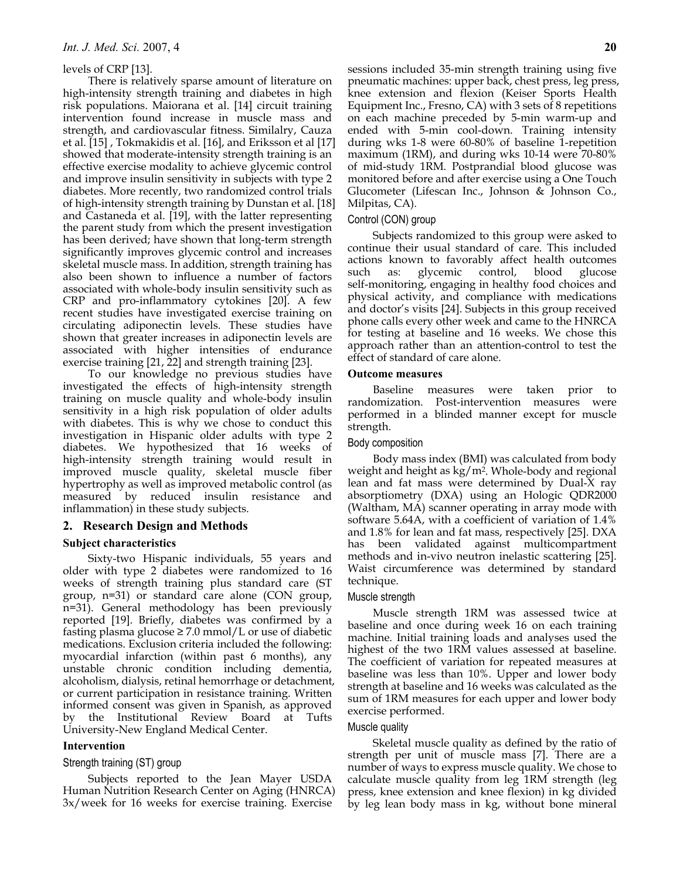#### levels of CRP [13].

There is relatively sparse amount of literature on high-intensity strength training and diabetes in high risk populations. Maiorana et al. [14] circuit training intervention found increase in muscle mass and strength, and cardiovascular fitness. Similalry, Cauza et al. [15] , Tokmakidis et al. [16], and Eriksson et al [17] showed that moderate-intensity strength training is an effective exercise modality to achieve glycemic control and improve insulin sensitivity in subjects with type 2 diabetes. More recently, two randomized control trials of high-intensity strength training by Dunstan et al. [18] and Castaneda et al. [19], with the latter representing the parent study from which the present investigation has been derived; have shown that long-term strength significantly improves glycemic control and increases skeletal muscle mass. In addition, strength training has also been shown to influence a number of factors associated with whole-body insulin sensitivity such as CRP and pro-inflammatory cytokines [20]. A few recent studies have investigated exercise training on circulating adiponectin levels. These studies have shown that greater increases in adiponectin levels are associated with higher intensities of endurance exercise training [21, 22] and strength training [23].

To our knowledge no previous studies have investigated the effects of high-intensity strength training on muscle quality and whole-body insulin sensitivity in a high risk population of older adults with diabetes. This is why we chose to conduct this investigation in Hispanic older adults with type 2 diabetes. We hypothesized that 16 weeks of high-intensity strength training would result in improved muscle quality, skeletal muscle fiber hypertrophy as well as improved metabolic control (as measured by reduced insulin resistance and inflammation) in these study subjects.

## **2. Research Design and Methods**

#### **Subject characteristics**

Sixty-two Hispanic individuals, 55 years and older with type 2 diabetes were randomized to 16 weeks of strength training plus standard care (ST group, n=31) or standard care alone (CON group, n=31). General methodology has been previously reported [19]. Briefly, diabetes was confirmed by a fasting plasma glucose  $\geq$  7.0 mmol/L or use of diabetic medications. Exclusion criteria included the following: myocardial infarction (within past 6 months), any unstable chronic condition including dementia, alcoholism, dialysis, retinal hemorrhage or detachment, or current participation in resistance training. Written informed consent was given in Spanish, as approved by the Institutional Review Board at Tufts University-New England Medical Center.

#### **Intervention**

#### Strength training (ST) group

Subjects reported to the Jean Mayer USDA Human Nutrition Research Center on Aging (HNRCA) 3x/week for 16 weeks for exercise training. Exercise

sessions included 35-min strength training using five pneumatic machines: upper back, chest press, leg press, knee extension and flexion (Keiser Sports Health Equipment Inc., Fresno, CA) with 3 sets of 8 repetitions on each machine preceded by 5-min warm-up and ended with 5-min cool-down. Training intensity during wks 1-8 were 60-80% of baseline 1-repetition maximum (1RM), and during wks 10-14 were 70-80% of mid-study 1RM. Postprandial blood glucose was monitored before and after exercise using a One Touch Glucometer (Lifescan Inc., Johnson & Johnson Co., Milpitas, CA).

#### Control (CON) group

Subjects randomized to this group were asked to continue their usual standard of care. This included actions known to favorably affect health outcomes such as: glycemic control, blood glucose self-monitoring, engaging in healthy food choices and physical activity, and compliance with medications and doctor's visits [24]. Subjects in this group received phone calls every other week and came to the HNRCA for testing at baseline and 16 weeks. We chose this approach rather than an attention-control to test the effect of standard of care alone.

#### **Outcome measures**

Baseline measures were taken prior to randomization. Post-intervention measures were performed in a blinded manner except for muscle strength.

## Body composition

Body mass index (BMI) was calculated from body weight and height as kg/m2. Whole-body and regional lean and fat mass were determined by Dual-X ray absorptiometry (DXA) using an Hologic QDR2000 (Waltham, MA) scanner operating in array mode with software 5.64A, with a coefficient of variation of 1.4% and 1.8% for lean and fat mass, respectively [25]. DXA has been validated against multicompartment methods and in-vivo neutron inelastic scattering [25]. Waist circumference was determined by standard technique.

#### Muscle strength

Muscle strength 1RM was assessed twice at baseline and once during week 16 on each training machine. Initial training loads and analyses used the highest of the two 1RM values assessed at baseline. The coefficient of variation for repeated measures at baseline was less than 10%. Upper and lower body strength at baseline and 16 weeks was calculated as the sum of 1RM measures for each upper and lower body exercise performed.

### Muscle quality

Skeletal muscle quality as defined by the ratio of strength per unit of muscle mass [7]. There are a number of ways to express muscle quality. We chose to calculate muscle quality from leg 1RM strength (leg press, knee extension and knee flexion) in kg divided by leg lean body mass in kg, without bone mineral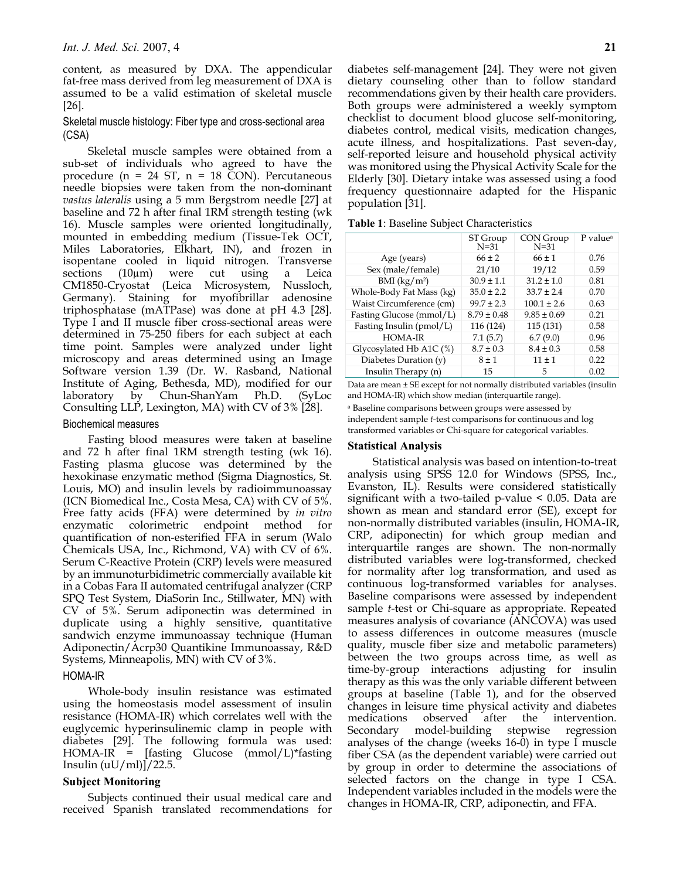content, as measured by DXA. The appendicular fat-free mass derived from leg measurement of DXA is assumed to be a valid estimation of skeletal muscle [26].

## Skeletal muscle histology: Fiber type and cross-sectional area (CSA)

Skeletal muscle samples were obtained from a sub-set of individuals who agreed to have the procedure ( $n = 24$  ST,  $n = 18$  CON). Percutaneous needle biopsies were taken from the non-dominant *vastus lateralis* using a 5 mm Bergstrom needle [27] at baseline and 72 h after final 1RM strength testing (wk 16). Muscle samples were oriented longitudinally, mounted in embedding medium (Tissue-Tek OCT, Miles Laboratories, Elkhart, IN), and frozen in isopentane cooled in liquid nitrogen. Transverse sections (10µm) were cut using a Leica CM1850-Cryostat (Leica Microsystem, Nussloch, Germany). Staining for myofibrillar adenosine triphosphatase (mATPase) was done at pH 4.3 [28]. Type I and II muscle fiber cross-sectional areas were determined in 75-250 fibers for each subject at each time point. Samples were analyzed under light microscopy and areas determined using an Image Software version 1.39 (Dr. W. Rasband, National Institute of Aging, Bethesda, MD), modified for our laboratory by Chun-ShanYam Ph.D. (SyLoc Consulting LLP, Lexington, MA) with CV of 3% [28].

## Biochemical measures

Fasting blood measures were taken at baseline and 72 h after final 1RM strength testing (wk 16). Fasting plasma glucose was determined by the hexokinase enzymatic method (Sigma Diagnostics, St. Louis, MO) and insulin levels by radioimmunoassay (ICN Biomedical Inc., Costa Mesa, CA) with CV of 5%. Free fatty acids (FFA) were determined by *in vitro* enzymatic colorimetric endpoint method for quantification of non-esterified FFA in serum (Walo Chemicals USA, Inc., Richmond, VA) with CV of 6%. Serum C-Reactive Protein (CRP) levels were measured by an immunoturbidimetric commercially available kit in a Cobas Fara II automated centrifugal analyzer (CRP SPQ Test System, DiaSorin Inc., Stillwater, MN) with CV of 5%. Serum adiponectin was determined in duplicate using a highly sensitive, quantitative sandwich enzyme immunoassay technique (Human Adiponectin/Acrp30 Quantikine Immunoassay, R&D Systems, Minneapolis, MN) with CV of 3%.

## HOMA-IR

Whole-body insulin resistance was estimated using the homeostasis model assessment of insulin resistance (HOMA-IR) which correlates well with the euglycemic hyperinsulinemic clamp in people with diabetes [29]. The following formula was used: HOMA-IR = [fasting Glucose (mmol/L)\*fasting Insulin  $(uU/ml)/22.5$ .

## **Subject Monitoring**

Subjects continued their usual medical care and received Spanish translated recommendations for diabetes self-management [24]. They were not given dietary counseling other than to follow standard recommendations given by their health care providers. Both groups were administered a weekly symptom checklist to document blood glucose self-monitoring, diabetes control, medical visits, medication changes, acute illness, and hospitalizations. Past seven-day, self-reported leisure and household physical activity was monitored using the Physical Activity Scale for the Elderly [30]. Dietary intake was assessed using a food frequency questionnaire adapted for the Hispanic population [31].

|                            | ST Group<br>$N=31$ | CON Group<br>N=31 | P value <sup>a</sup> |
|----------------------------|--------------------|-------------------|----------------------|
| Age (years)                | $66 \pm 2$         | $66 \pm 1$        | 0.76                 |
| Sex (male/female)          | 21/10              | 19/12             | 0.59                 |
| $BMI$ (kg/m <sup>2</sup> ) | $30.9 \pm 1.1$     | $31.2 \pm 1.0$    | 0.81                 |
| Whole-Body Fat Mass (kg)   | $35.0 \pm 2.2$     | $33.7 \pm 2.4$    | 0.70                 |
| Waist Circumference (cm)   | $99.7 \pm 2.3$     | $100.1 \pm 2.6$   | 0.63                 |
| Fasting Glucose (mmol/L)   | $8.79 \pm 0.48$    | $9.85 \pm 0.69$   | 0.21                 |
| Fasting Insulin (pmol/L)   | 116 (124)          | 115 (131)         | 0.58                 |
| HOMA-IR                    | 7.1(5.7)           | 6.7(9.0)          | 0.96                 |
| Glycosylated Hb A1C (%)    | $8.7 \pm 0.3$      | $8.4 \pm 0.3$     | 0.58                 |
| Diabetes Duration (y)      | $8 \pm 1$          | $11 \pm 1$        | 0.22                 |
| Insulin Therapy (n)        | 15                 | 5                 | 0.02                 |

Data are mean ± SE except for not normally distributed variables (insulin and HOMA-IR) which show median (interquartile range).

a Baseline comparisons between groups were assessed by independent sample *t*-test comparisons for continuous and log transformed variables or Chi-square for categorical variables.

## **Statistical Analysis**

Statistical analysis was based on intention-to-treat analysis using SPSS 12.0 for Windows (SPSS, Inc., Evanston, IL). Results were considered statistically significant with a two-tailed p-value < 0.05. Data are shown as mean and standard error (SE), except for non-normally distributed variables (insulin, HOMA-IR, CRP, adiponectin) for which group median and interquartile ranges are shown. The non-normally distributed variables were log-transformed, checked for normality after log transformation, and used as continuous log-transformed variables for analyses. Baseline comparisons were assessed by independent sample *t*-test or Chi-square as appropriate. Repeated measures analysis of covariance (ANCOVA) was used to assess differences in outcome measures (muscle quality, muscle fiber size and metabolic parameters) between the two groups across time, as well as time-by-group interactions adjusting for insulin therapy as this was the only variable different between groups at baseline (Table 1), and for the observed changes in leisure time physical activity and diabetes medications observed after the intervention. Secondary model-building stepwise regression analyses of the change (weeks 16-0) in type I muscle fiber CSA (as the dependent variable) were carried out by group in order to determine the associations of selected factors on the change in type I CSA. Independent variables included in the models were the changes in HOMA-IR, CRP, adiponectin, and FFA.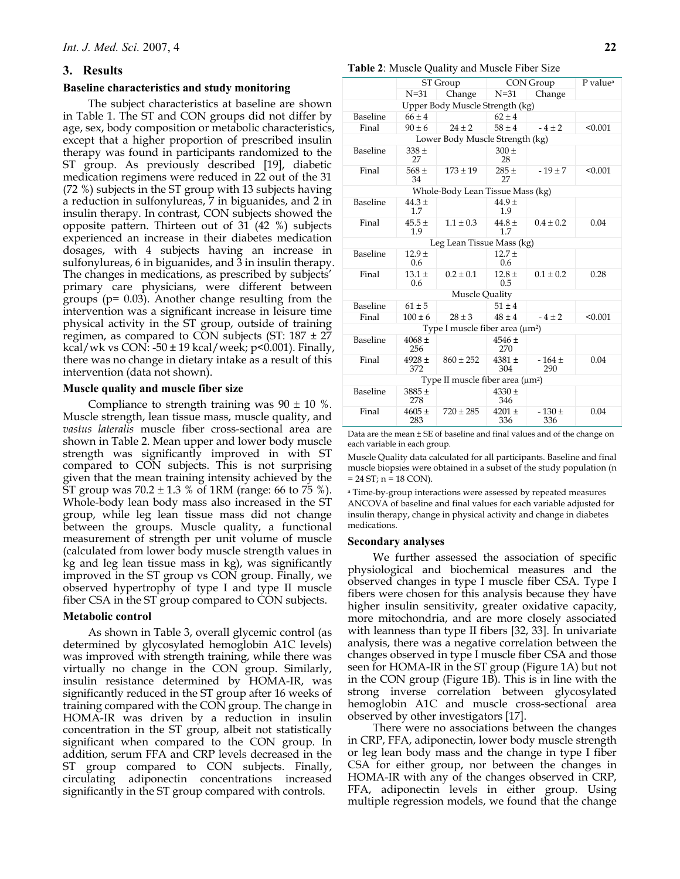## **3. Results**

## **Baseline characteristics and study monitoring**

The subject characteristics at baseline are shown in Table 1. The ST and CON groups did not differ by age, sex, body composition or metabolic characteristics, except that a higher proportion of prescribed insulin therapy was found in participants randomized to the ST group. As previously described [19], diabetic medication regimens were reduced in 22 out of the 31 (72 %) subjects in the ST group with 13 subjects having a reduction in sulfonylureas, 7 in biguanides, and 2 in insulin therapy. In contrast, CON subjects showed the opposite pattern. Thirteen out of 31 (42 %) subjects experienced an increase in their diabetes medication dosages, with 4 subjects having an increase in sulfonylureas, 6 in biguanides, and 3 in insulin therapy. The changes in medications, as prescribed by subjects' primary care physicians, were different between groups (p= 0.03). Another change resulting from the intervention was a significant increase in leisure time physical activity in the ST group, outside of training regimen, as compared to CON subjects (ST:  $187 \pm 27$ kcal/wk vs CON: -50  $\pm$  19 kcal/week; p<0.001). Finally, there was no change in dietary intake as a result of this intervention (data not shown).

#### **Muscle quality and muscle fiber size**

Compliance to strength training was  $90 \pm 10$  %. Muscle strength, lean tissue mass, muscle quality, and *vastus lateralis* muscle fiber cross-sectional area are shown in Table 2. Mean upper and lower body muscle strength was significantly improved in with ST compared to CON subjects. This is not surprising given that the mean training intensity achieved by the ST group was  $70.2 \pm 1.3$  % of 1RM (range: 66 to 75 %). Whole-body lean body mass also increased in the ST group, while leg lean tissue mass did not change between the groups. Muscle quality, a functional measurement of strength per unit volume of muscle (calculated from lower body muscle strength values in kg and leg lean tissue mass in kg), was significantly improved in the ST group vs CON group. Finally, we observed hypertrophy of type I and type II muscle fiber CSA in the ST group compared to CON subjects.

#### **Metabolic control**

As shown in Table 3, overall glycemic control (as determined by glycosylated hemoglobin A1C levels) was improved with strength training, while there was virtually no change in the CON group. Similarly, insulin resistance determined by HOMA-IR, was significantly reduced in the ST group after 16 weeks of training compared with the CON group. The change in HOMA-IR was driven by a reduction in insulin concentration in the ST group, albeit not statistically significant when compared to the CON group. In addition, serum FFA and CRP levels decreased in the ST group compared to CON subjects. Finally, circulating adiponectin concentrations increased significantly in the ST group compared with controls.

#### **Table 2**: Muscle Quality and Muscle Fiber Size

|                                  |                   | ST Group<br>Change<br>$N=31$<br>$66 + 4$<br>$90 \pm 6$<br>$24 + 2$<br>$338 \pm$ |                   | CON Group       |         |  |  |  |
|----------------------------------|-------------------|---------------------------------------------------------------------------------|-------------------|-----------------|---------|--|--|--|
|                                  |                   |                                                                                 | $N=31$            | Change          |         |  |  |  |
| Upper Body Muscle Strength (kg)  |                   |                                                                                 |                   |                 |         |  |  |  |
| Baseline                         |                   |                                                                                 | $62 + 4$          |                 |         |  |  |  |
| Final                            |                   |                                                                                 | $58 + 4$          | $-4 + 2$        | < 0.001 |  |  |  |
| Lower Body Muscle Strength (kg)  |                   |                                                                                 |                   |                 |         |  |  |  |
| Baseline                         | 27                |                                                                                 | $300 +$<br>28     |                 |         |  |  |  |
| Final                            | $568 +$<br>34     | $173 \pm 19$                                                                    | $285 +$<br>27     | $-19 \pm 7$     | < 0.001 |  |  |  |
| Whole-Body Lean Tissue Mass (kg) |                   |                                                                                 |                   |                 |         |  |  |  |
| Baseline                         | $44.3 \pm$<br>1.7 |                                                                                 | $44.9 +$<br>1.9   |                 |         |  |  |  |
| Final                            | $45.5+$<br>1.9    | $1.1 \pm 0.3$                                                                   | $44.8 +$<br>1.7   | $0.4 + 0.2$     | 0.04    |  |  |  |
|                                  |                   | Leg Lean Tissue Mass (kg)                                                       |                   |                 |         |  |  |  |
| Baseline                         | $12.9 +$<br>0.6   |                                                                                 | $12.7 +$<br>0.6   |                 |         |  |  |  |
| Final                            | $13.1 \pm$<br>0.6 | $0.2 \pm 0.1$                                                                   | $12.8 \pm$<br>0.5 | $0.1 \pm 0.2$   | 0.28    |  |  |  |
| Muscle Quality                   |                   |                                                                                 |                   |                 |         |  |  |  |
| Baseline                         | $61 \pm 5$        |                                                                                 | $51 \pm 4$        |                 |         |  |  |  |
| Final                            | $100 \pm 6$       | $28 \pm 3$                                                                      | $48 \pm 4$        | $-4 \pm 2$      | < 0.001 |  |  |  |
|                                  |                   | Type I muscle fiber area $(\mu m^2)$                                            |                   |                 |         |  |  |  |
| Baseline                         | $4068 +$<br>256   |                                                                                 | $4546 \pm$<br>270 |                 |         |  |  |  |
| Final                            | $4928 \pm$<br>372 | $860 \pm 252$                                                                   | $4381 +$<br>304   | $-164 +$<br>290 | 0.04    |  |  |  |
|                                  |                   | Type II muscle fiber area $(\mu m^2)$                                           |                   |                 |         |  |  |  |
| Baseline                         | $3885 \pm$<br>278 |                                                                                 | $4330 \pm$<br>346 |                 |         |  |  |  |
| Final                            | $4605 \pm$<br>283 | $720 \pm 285$                                                                   | $4201 \pm$<br>336 | $-130±$<br>336  | 0.04    |  |  |  |

Data are the mean ± SE of baseline and final values and of the change on each variable in each group.

Muscle Quality data calculated for all participants. Baseline and final muscle biopsies were obtained in a subset of the study population (n  $= 24 ST; n = 18 CON$ .

a Time-by-group interactions were assessed by repeated measures ANCOVA of baseline and final values for each variable adjusted for insulin therapy, change in physical activity and change in diabetes medications.

#### **Secondary analyses**

We further assessed the association of specific physiological and biochemical measures and the observed changes in type I muscle fiber CSA. Type I fibers were chosen for this analysis because they have higher insulin sensitivity, greater oxidative capacity, more mitochondria, and are more closely associated with leanness than type II fibers [32, 33]. In univariate analysis, there was a negative correlation between the changes observed in type I muscle fiber CSA and those seen for HOMA-IR in the ST group (Figure 1A) but not in the CON group (Figure 1B). This is in line with the strong inverse correlation between glycosylated hemoglobin A1C and muscle cross-sectional area observed by other investigators [17].

There were no associations between the changes in CRP, FFA, adiponectin, lower body muscle strength or leg lean body mass and the change in type I fiber CSA for either group, nor between the changes in HOMA-IR with any of the changes observed in CRP, FFA, adiponectin levels in either group. Using multiple regression models, we found that the change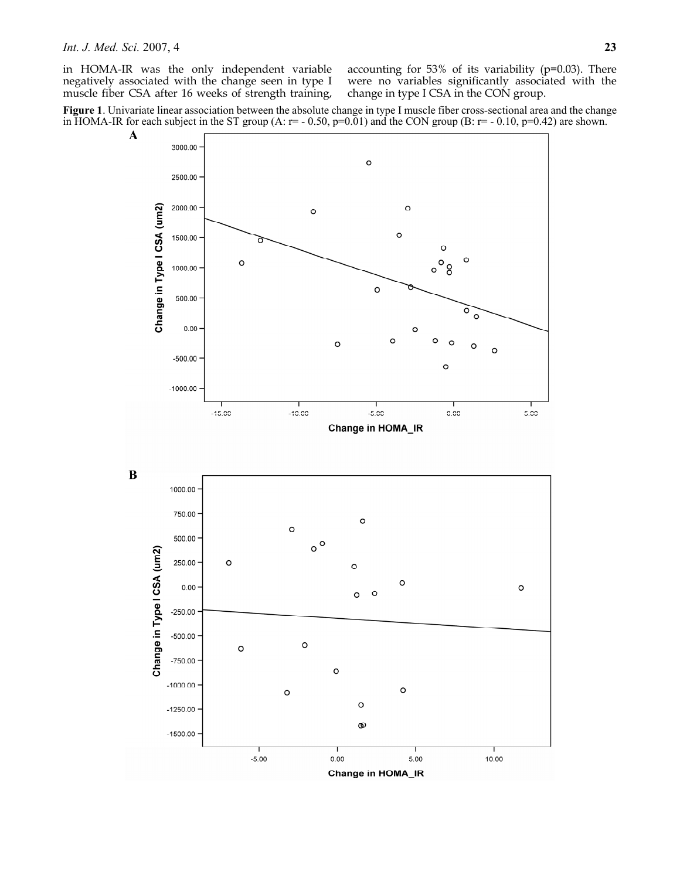in HOMA-IR was the only independent variable negatively associated with the change seen in type I muscle fiber CSA after 16 weeks of strength training, accounting for 53% of its variability (p=0.03). There were no variables significantly associated with the change in type I CSA in the CON group.

**Figure 1**. Univariate linear association between the absolute change in type I muscle fiber cross-sectional area and the change in HOMA-IR for each subject in the ST group (A:  $r = -0.50$ ,  $p=0.01$ ) and the CON group (B:  $r = -0.10$ ,  $p=0.42$ ) are shown.

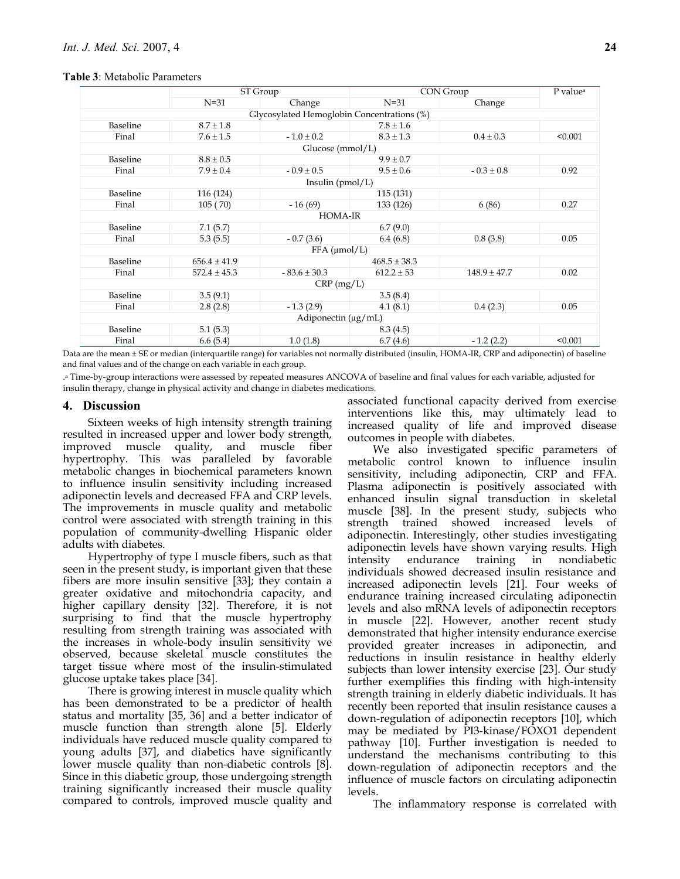#### **Table 3**: Metabolic Parameters

|                | ST Group             |                                            | CON Group        |                  | P value <sup>a</sup> |  |  |
|----------------|----------------------|--------------------------------------------|------------------|------------------|----------------------|--|--|
|                | $N=31$               | Change                                     | $N=31$           | Change           |                      |  |  |
|                |                      | Glycosylated Hemoglobin Concentrations (%) |                  |                  |                      |  |  |
| Baseline       | $8.7 \pm 1.8$        |                                            | $7.8 \pm 1.6$    |                  |                      |  |  |
| Final          | $7.6 \pm 1.5$        | $-1.0 \pm 0.2$                             | $8.3 \pm 1.3$    | $0.4 \pm 0.3$    | < 0.001              |  |  |
|                | Glucose (mmol/L)     |                                            |                  |                  |                      |  |  |
| Baseline       | $8.8 \pm 0.5$        |                                            | $9.9 \pm 0.7$    |                  |                      |  |  |
| Final          | $7.9 \pm 0.4$        | $-0.9 \pm 0.5$                             | $9.5 \pm 0.6$    | $-0.3 \pm 0.8$   | 0.92                 |  |  |
|                |                      | Insulin (pmol/L)                           |                  |                  |                      |  |  |
| Baseline       | 116 (124)            |                                            | 115 (131)        |                  |                      |  |  |
| Final          | 105(70)              | $-16(69)$                                  | 133 (126)        | 6(86)            | 0.27                 |  |  |
| <b>HOMA-IR</b> |                      |                                            |                  |                  |                      |  |  |
| Baseline       | 7.1(5.7)             |                                            | 6.7(9.0)         |                  |                      |  |  |
| Final          | 5.3(5.5)             | $-0.7(3.6)$                                | 6.4(6.8)         | 0.8(3.8)         | 0.05                 |  |  |
|                | $FFA$ ( $\mu$ mol/L) |                                            |                  |                  |                      |  |  |
| Baseline       | $656.4 \pm 41.9$     |                                            | $468.5 \pm 38.3$ |                  |                      |  |  |
| Final          | $572.4 \pm 45.3$     | $-83.6 \pm 30.3$                           | $612.2 \pm 53$   | $148.9 \pm 47.7$ | 0.02                 |  |  |
|                |                      | $CRP$ (mg/L)                               |                  |                  |                      |  |  |
| Baseline       | 3.5(9.1)             |                                            | 3.5(8.4)         |                  |                      |  |  |
| Final          | 2.8(2.8)             | $-1.3(2.9)$                                | 4.1(8.1)         | 0.4(2.3)         | 0.05                 |  |  |
|                |                      | Adiponectin $(\mu g/mL)$                   |                  |                  |                      |  |  |
| Baseline       | 5.1(5.3)             |                                            | 8.3(4.5)         |                  |                      |  |  |
| Final          | 6.6(5.4)             | 1.0(1.8)                                   | 6.7(4.6)         | $-1.2(2.2)$      | < 0.001              |  |  |

Data are the mean ± SE or median (interquartile range) for variables not normally distributed (insulin, HOMA-IR, CRP and adiponectin) of baseline and final values and of the change on each variable in each group.

.a Time-by-group interactions were assessed by repeated measures ANCOVA of baseline and final values for each variable, adjusted for insulin therapy, change in physical activity and change in diabetes medications.

## **4. Discussion**

Sixteen weeks of high intensity strength training resulted in increased upper and lower body strength, improved muscle quality, and muscle fiber hypertrophy. This was paralleled by favorable metabolic changes in biochemical parameters known to influence insulin sensitivity including increased adiponectin levels and decreased FFA and CRP levels. The improvements in muscle quality and metabolic control were associated with strength training in this population of community-dwelling Hispanic older adults with diabetes.

Hypertrophy of type I muscle fibers, such as that seen in the present study, is important given that these fibers are more insulin sensitive [33]; they contain a greater oxidative and mitochondria capacity, and higher capillary density [32]. Therefore, it is not surprising to find that the muscle hypertrophy resulting from strength training was associated with the increases in whole-body insulin sensitivity we observed, because skeletal muscle constitutes the target tissue where most of the insulin-stimulated glucose uptake takes place [34].

There is growing interest in muscle quality which has been demonstrated to be a predictor of health status and mortality [35, 36] and a better indicator of muscle function than strength alone [5]. Elderly individuals have reduced muscle quality compared to young adults [37], and diabetics have significantly lower muscle quality than non-diabetic controls [8]. Since in this diabetic group, those undergoing strength training significantly increased their muscle quality compared to controls, improved muscle quality and associated functional capacity derived from exercise interventions like this, may ultimately lead to increased quality of life and improved disease outcomes in people with diabetes.

We also investigated specific parameters of metabolic control known to influence insulin sensitivity, including adiponectin, CRP and FFA. Plasma adiponectin is positively associated with enhanced insulin signal transduction in skeletal muscle [38]. In the present study, subjects who strength trained showed increased levels of adiponectin. Interestingly, other studies investigating adiponectin levels have shown varying results. High intensity endurance training in nondiabetic individuals showed decreased insulin resistance and increased adiponectin levels [21]. Four weeks of endurance training increased circulating adiponectin levels and also mRNA levels of adiponectin receptors in muscle [22]. However, another recent study demonstrated that higher intensity endurance exercise provided greater increases in adiponectin, and reductions in insulin resistance in healthy elderly subjects than lower intensity exercise [23]. Our study further exemplifies this finding with high-intensity strength training in elderly diabetic individuals. It has recently been reported that insulin resistance causes a down-regulation of adiponectin receptors [10], which may be mediated by PI3-kinase/FOXO1 dependent pathway [10]. Further investigation is needed to understand the mechanisms contributing to this down-regulation of adiponectin receptors and the influence of muscle factors on circulating adiponectin levels.

The inflammatory response is correlated with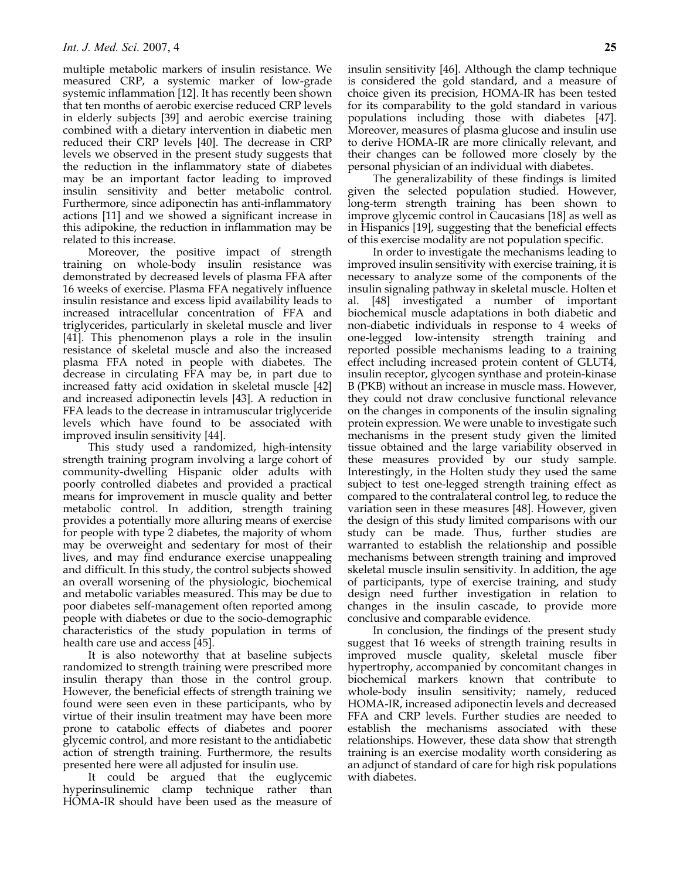multiple metabolic markers of insulin resistance. We measured CRP, a systemic marker of low-grade systemic inflammation [12]. It has recently been shown that ten months of aerobic exercise reduced CRP levels in elderly subjects [39] and aerobic exercise training combined with a dietary intervention in diabetic men reduced their CRP levels [40]. The decrease in CRP levels we observed in the present study suggests that the reduction in the inflammatory state of diabetes may be an important factor leading to improved insulin sensitivity and better metabolic control. Furthermore, since adiponectin has anti-inflammatory actions [11] and we showed a significant increase in this adipokine, the reduction in inflammation may be related to this increase.

Moreover, the positive impact of strength training on whole-body insulin resistance was demonstrated by decreased levels of plasma FFA after 16 weeks of exercise. Plasma FFA negatively influence insulin resistance and excess lipid availability leads to increased intracellular concentration of FFA and triglycerides, particularly in skeletal muscle and liver [41]. This phenomenon plays a role in the insulin resistance of skeletal muscle and also the increased plasma FFA noted in people with diabetes. The decrease in circulating FFA may be, in part due to increased fatty acid oxidation in skeletal muscle [42] and increased adiponectin levels [43]. A reduction in FFA leads to the decrease in intramuscular triglyceride levels which have found to be associated with improved insulin sensitivity [44].

This study used a randomized, high-intensity strength training program involving a large cohort of community-dwelling Hispanic older adults with poorly controlled diabetes and provided a practical means for improvement in muscle quality and better metabolic control. In addition, strength training provides a potentially more alluring means of exercise for people with type 2 diabetes, the majority of whom may be overweight and sedentary for most of their lives, and may find endurance exercise unappealing and difficult. In this study, the control subjects showed an overall worsening of the physiologic, biochemical and metabolic variables measured. This may be due to poor diabetes self-management often reported among people with diabetes or due to the socio-demographic characteristics of the study population in terms of health care use and access [45].

It is also noteworthy that at baseline subjects randomized to strength training were prescribed more insulin therapy than those in the control group. However, the beneficial effects of strength training we found were seen even in these participants, who by virtue of their insulin treatment may have been more prone to catabolic effects of diabetes and poorer glycemic control, and more resistant to the antidiabetic action of strength training. Furthermore, the results presented here were all adjusted for insulin use.

It could be argued that the euglycemic hyperinsulinemic clamp technique rather than HOMA-IR should have been used as the measure of insulin sensitivity [46]. Although the clamp technique is considered the gold standard, and a measure of choice given its precision, HOMA-IR has been tested for its comparability to the gold standard in various populations including those with diabetes [47]. Moreover, measures of plasma glucose and insulin use to derive HOMA-IR are more clinically relevant, and their changes can be followed more closely by the personal physician of an individual with diabetes.

The generalizability of these findings is limited given the selected population studied. However, long-term strength training has been shown to improve glycemic control in Caucasians [18] as well as in Hispanics [19], suggesting that the beneficial effects of this exercise modality are not population specific.

In order to investigate the mechanisms leading to improved insulin sensitivity with exercise training, it is necessary to analyze some of the components of the insulin signaling pathway in skeletal muscle. Holten et al. [48] investigated a number of important biochemical muscle adaptations in both diabetic and non-diabetic individuals in response to 4 weeks of one-legged low-intensity strength training and reported possible mechanisms leading to a training effect including increased protein content of GLUT4, insulin receptor, glycogen synthase and protein-kinase B (PKB) without an increase in muscle mass. However, they could not draw conclusive functional relevance on the changes in components of the insulin signaling protein expression. We were unable to investigate such mechanisms in the present study given the limited tissue obtained and the large variability observed in these measures provided by our study sample. Interestingly, in the Holten study they used the same subject to test one-legged strength training effect as compared to the contralateral control leg, to reduce the variation seen in these measures [48]. However, given the design of this study limited comparisons with our study can be made. Thus, further studies are warranted to establish the relationship and possible mechanisms between strength training and improved skeletal muscle insulin sensitivity. In addition, the age of participants, type of exercise training, and study design need further investigation in relation to changes in the insulin cascade, to provide more conclusive and comparable evidence.

In conclusion, the findings of the present study suggest that 16 weeks of strength training results in improved muscle quality, skeletal muscle fiber hypertrophy, accompanied by concomitant changes in biochemical markers known that contribute to whole-body insulin sensitivity; namely, reduced HOMA-IR, increased adiponectin levels and decreased FFA and CRP levels. Further studies are needed to establish the mechanisms associated with these relationships. However, these data show that strength training is an exercise modality worth considering as an adjunct of standard of care for high risk populations with diabetes.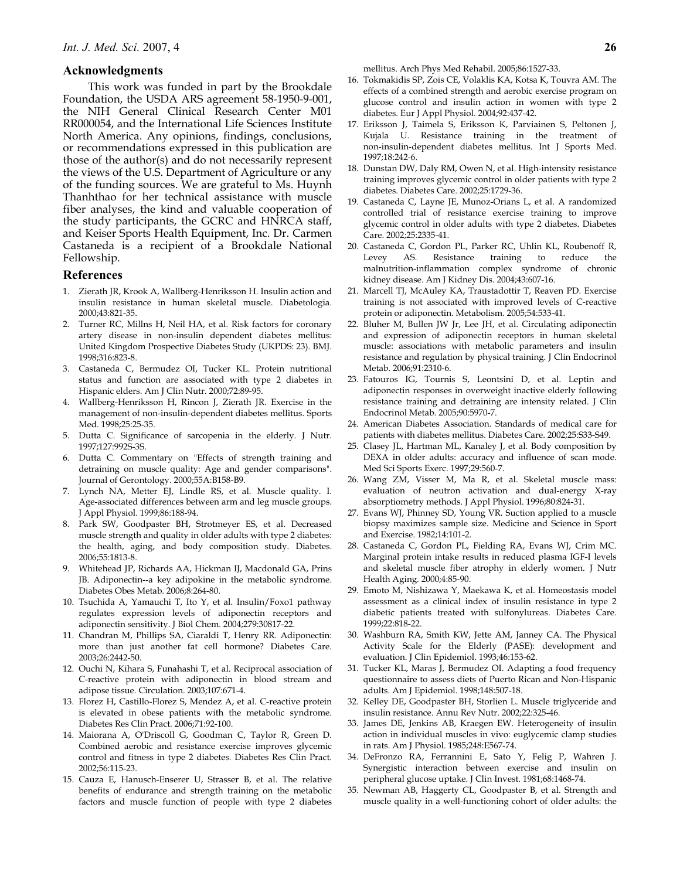## **Acknowledgments**

This work was funded in part by the Brookdale Foundation, the USDA ARS agreement 58-1950-9-001, the NIH General Clinical Research Center M01 RR000054, and the International Life Sciences Institute North America. Any opinions, findings, conclusions, or recommendations expressed in this publication are those of the author(s) and do not necessarily represent the views of the U.S. Department of Agriculture or any of the funding sources. We are grateful to Ms. Huynh Thanhthao for her technical assistance with muscle fiber analyses, the kind and valuable cooperation of the study participants, the GCRC and HNRCA staff, and Keiser Sports Health Equipment, Inc. Dr. Carmen Castaneda is a recipient of a Brookdale National Fellowship.

## **References**

- Zierath JR, Krook A, Wallberg-Henriksson H. Insulin action and insulin resistance in human skeletal muscle. Diabetologia. 2000;43:821-35.
- Turner RC, Millns H, Neil HA, et al. Risk factors for coronary artery disease in non-insulin dependent diabetes mellitus: United Kingdom Prospective Diabetes Study (UKPDS: 23). BMJ. 1998;316:823-8.
- 3. Castaneda C, Bermudez OI, Tucker KL. Protein nutritional status and function are associated with type 2 diabetes in Hispanic elders. Am J Clin Nutr. 2000;72:89-95.
- 4. Wallberg-Henriksson H, Rincon J, Zierath JR. Exercise in the management of non-insulin-dependent diabetes mellitus. Sports Med. 1998;25:25-35.
- 5. Dutta C. Significance of sarcopenia in the elderly. J Nutr. 1997;127:992S-3S.
- 6. Dutta C. Commentary on "Effects of strength training and detraining on muscle quality: Age and gender comparisons". Journal of Gerontology. 2000;55A:B158-B9.
- 7. Lynch NA, Metter EJ, Lindle RS, et al. Muscle quality. I. Age-associated differences between arm and leg muscle groups. J Appl Physiol. 1999;86:188-94.
- 8. Park SW, Goodpaster BH, Strotmeyer ES, et al. Decreased muscle strength and quality in older adults with type 2 diabetes: the health, aging, and body composition study. Diabetes. 2006;55:1813-8.
- 9. Whitehead JP, Richards AA, Hickman IJ, Macdonald GA, Prins JB. Adiponectin--a key adipokine in the metabolic syndrome. Diabetes Obes Metab. 2006;8:264-80.
- 10. Tsuchida A, Yamauchi T, Ito Y, et al. Insulin/Foxo1 pathway regulates expression levels of adiponectin receptors and adiponectin sensitivity. J Biol Chem. 2004;279:30817-22.
- 11. Chandran M, Phillips SA, Ciaraldi T, Henry RR. Adiponectin: more than just another fat cell hormone? Diabetes Care. 2003;26:2442-50.
- 12. Ouchi N, Kihara S, Funahashi T, et al. Reciprocal association of C-reactive protein with adiponectin in blood stream and adipose tissue. Circulation. 2003;107:671-4.
- 13. Florez H, Castillo-Florez S, Mendez A, et al. C-reactive protein is elevated in obese patients with the metabolic syndrome. Diabetes Res Clin Pract. 2006;71:92-100.
- 14. Maiorana A, O'Driscoll G, Goodman C, Taylor R, Green D. Combined aerobic and resistance exercise improves glycemic control and fitness in type 2 diabetes. Diabetes Res Clin Pract. 2002;56:115-23.
- 15. Cauza E, Hanusch-Enserer U, Strasser B, et al. The relative benefits of endurance and strength training on the metabolic factors and muscle function of people with type 2 diabetes

mellitus. Arch Phys Med Rehabil. 2005;86:1527-33.

- 16. Tokmakidis SP, Zois CE, Volaklis KA, Kotsa K, Touvra AM. The effects of a combined strength and aerobic exercise program on glucose control and insulin action in women with type 2 diabetes. Eur J Appl Physiol. 2004;92:437-42.
- 17. Eriksson J, Taimela S, Eriksson K, Parviainen S, Peltonen J, Kujala U. Resistance training in the treatment of non-insulin-dependent diabetes mellitus. Int J Sports Med. 1997;18:242-6.
- 18. Dunstan DW, Daly RM, Owen N, et al. High-intensity resistance training improves glycemic control in older patients with type 2 diabetes. Diabetes Care. 2002;25:1729-36.
- 19. Castaneda C, Layne JE, Munoz-Orians L, et al. A randomized controlled trial of resistance exercise training to improve glycemic control in older adults with type 2 diabetes. Diabetes Care. 2002;25:2335-41.
- 20. Castaneda C, Gordon PL, Parker RC, Uhlin KL, Roubenoff R, Levey AS. Resistance training to reduce malnutrition-inflammation complex syndrome of chronic kidney disease. Am J Kidney Dis. 2004;43:607-16.
- 21. Marcell TJ, McAuley KA, Traustadottir T, Reaven PD. Exercise training is not associated with improved levels of C-reactive protein or adiponectin. Metabolism. 2005;54:533-41.
- 22. Bluher M, Bullen JW Jr, Lee JH, et al. Circulating adiponectin and expression of adiponectin receptors in human skeletal muscle: associations with metabolic parameters and insulin resistance and regulation by physical training. J Clin Endocrinol Metab. 2006;91:2310-6.
- 23. Fatouros IG, Tournis S, Leontsini D, et al. Leptin and adiponectin responses in overweight inactive elderly following resistance training and detraining are intensity related. J Clin Endocrinol Metab. 2005;90:5970-7.
- 24. American Diabetes Association. Standards of medical care for patients with diabetes mellitus. Diabetes Care. 2002;25:S33-S49.
- 25. Clasey JL, Hartman ML, Kanaley J, et al. Body composition by DEXA in older adults: accuracy and influence of scan mode. Med Sci Sports Exerc. 1997;29:560-7.
- 26. Wang ZM, Visser M, Ma R, et al. Skeletal muscle mass: evaluation of neutron activation and dual-energy X-ray absorptiometry methods. J Appl Physiol. 1996;80:824-31.
- 27. Evans WJ, Phinney SD, Young VR. Suction applied to a muscle biopsy maximizes sample size. Medicine and Science in Sport and Exercise. 1982;14:101-2.
- 28. Castaneda C, Gordon PL, Fielding RA, Evans WJ, Crim MC. Marginal protein intake results in reduced plasma IGF-I levels and skeletal muscle fiber atrophy in elderly women. J Nutr Health Aging. 2000;4:85-90.
- 29. Emoto M, Nishizawa Y, Maekawa K, et al. Homeostasis model assessment as a clinical index of insulin resistance in type 2 diabetic patients treated with sulfonylureas. Diabetes Care. 1999;22:818-22.
- 30. Washburn RA, Smith KW, Jette AM, Janney CA. The Physical Activity Scale for the Elderly (PASE): development and evaluation. J Clin Epidemiol. 1993;46:153-62.
- 31. Tucker KL, Maras J, Bermudez OI. Adapting a food frequency questionnaire to assess diets of Puerto Rican and Non-Hispanic adults. Am J Epidemiol. 1998;148:507-18.
- 32. Kelley DE, Goodpaster BH, Storlien L. Muscle triglyceride and insulin resistance. Annu Rev Nutr. 2002;22:325-46.
- 33. James DE, Jenkins AB, Kraegen EW. Heterogeneity of insulin action in individual muscles in vivo: euglycemic clamp studies in rats. Am J Physiol. 1985;248:E567-74.
- 34. DeFronzo RA, Ferrannini E, Sato Y, Felig P, Wahren J. Synergistic interaction between exercise and insulin on peripheral glucose uptake. J Clin Invest. 1981;68:1468-74.
- 35. Newman AB, Haggerty CL, Goodpaster B, et al. Strength and muscle quality in a well-functioning cohort of older adults: the